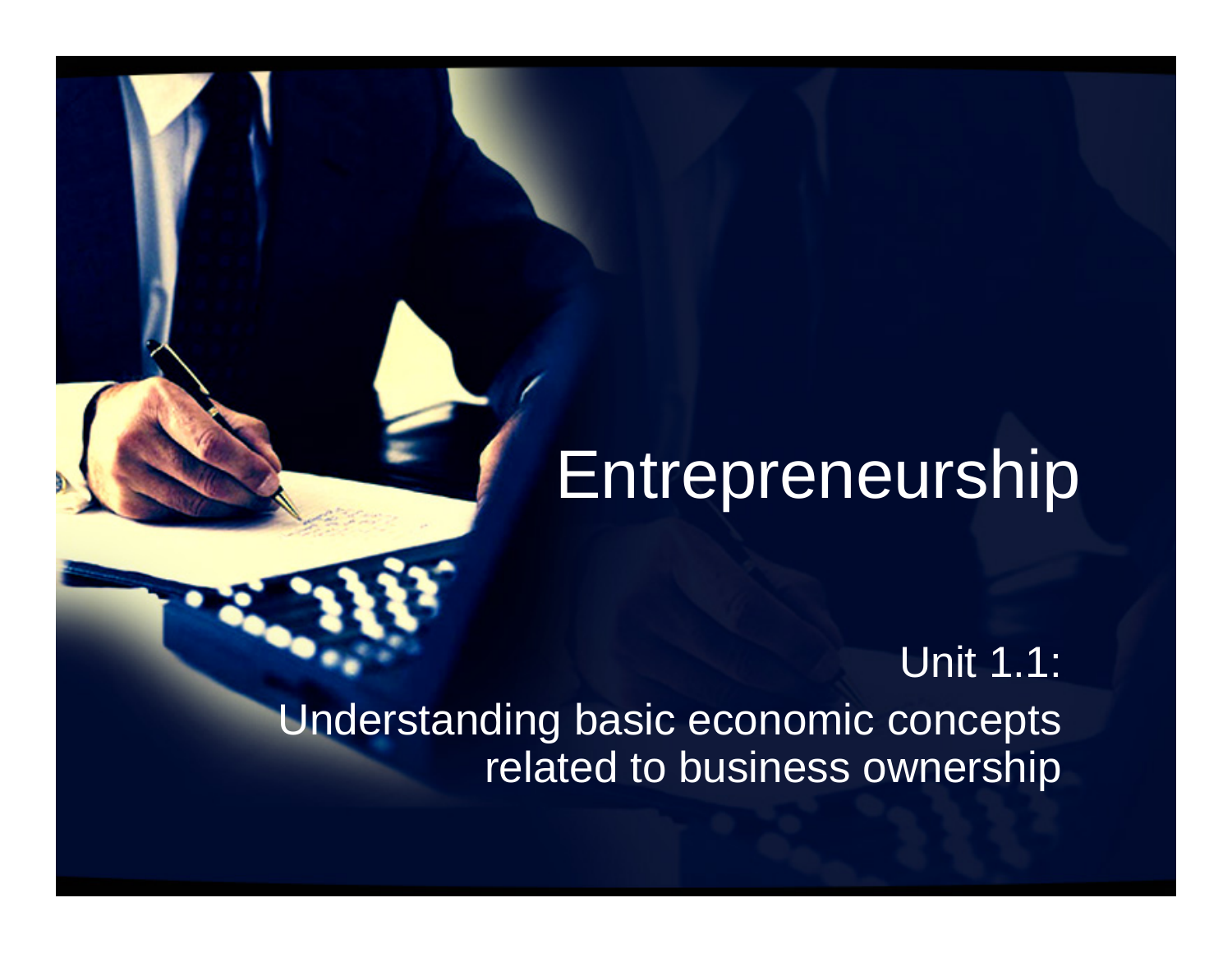# **Entrepreneurship**

Unit 1.1: Understanding basic economic concepts related to business ownership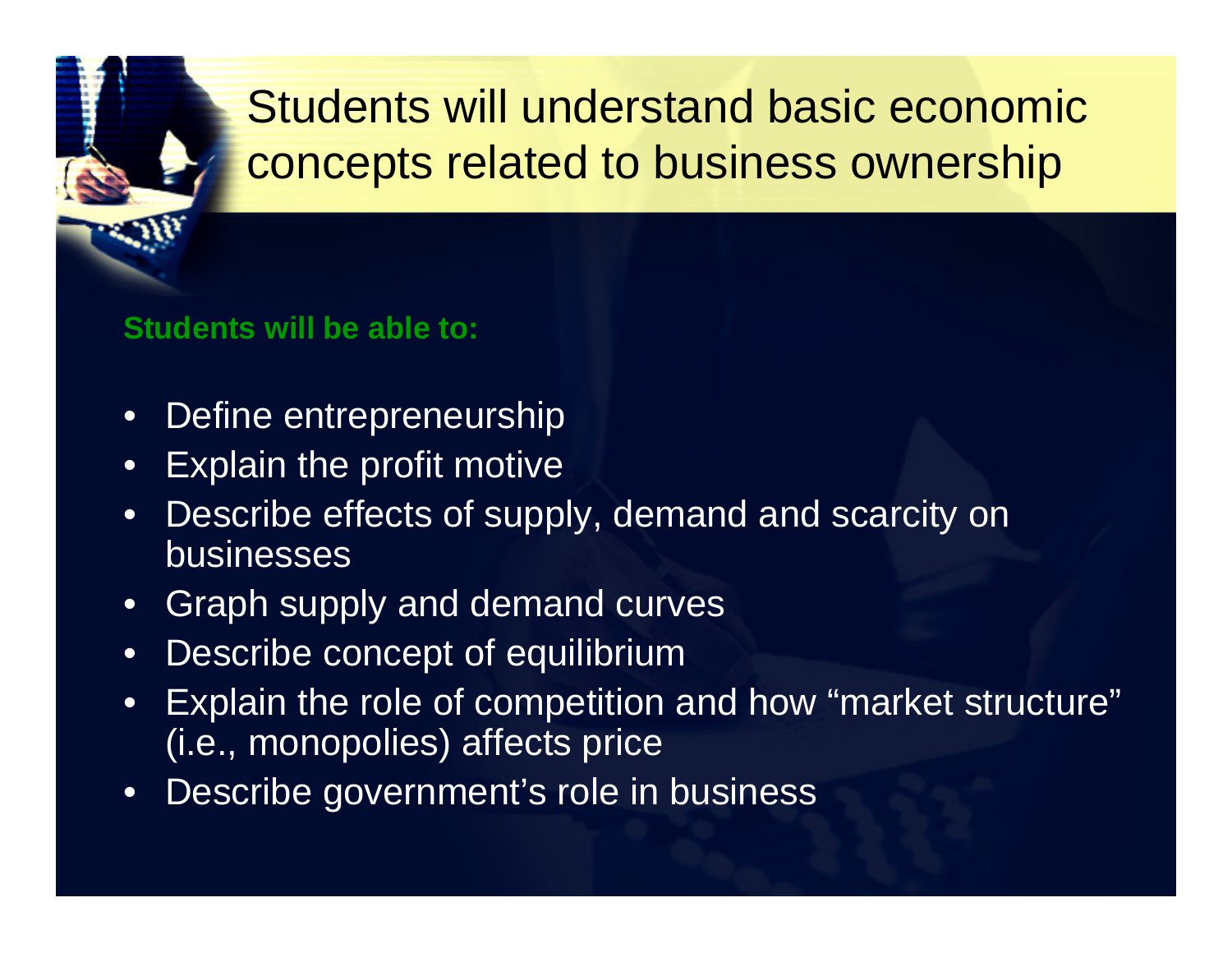# Students will understand basic economic concepts related to business ownership

#### **Students will be able to:**

- $\bullet$ Define entrepreneurship
- •Explain the profit motive
- • Describe effects of supply, demand and scarcity on businesses
- $\bullet$ Graph supply and demand curves
- •Describe concept of equilibrium
- • Explain the role of competition and how "market structure" (i.e., monopolies) affects price
- •Describe government's role in business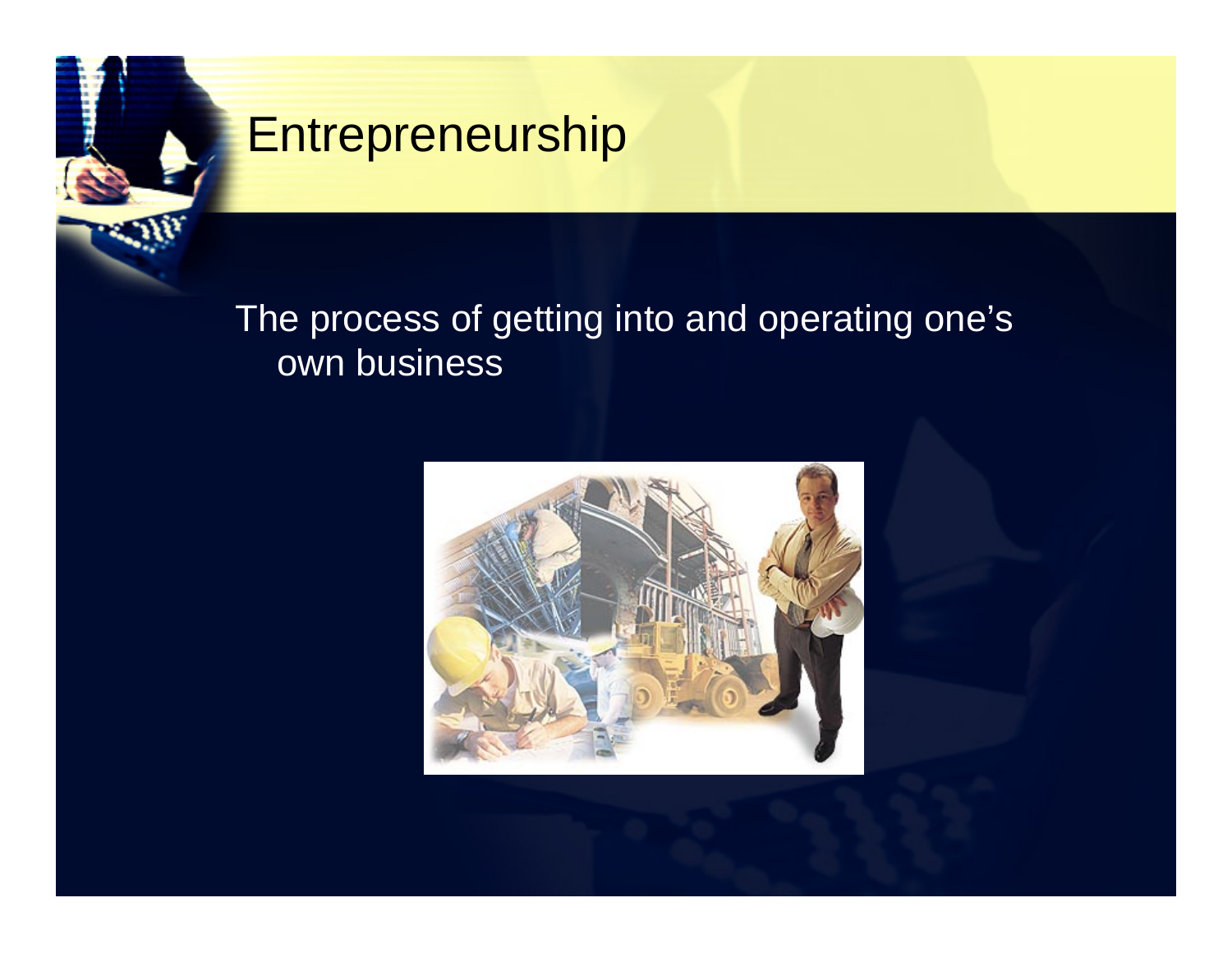### **Entrepreneurship**

### The process of getting into and operating one's own business

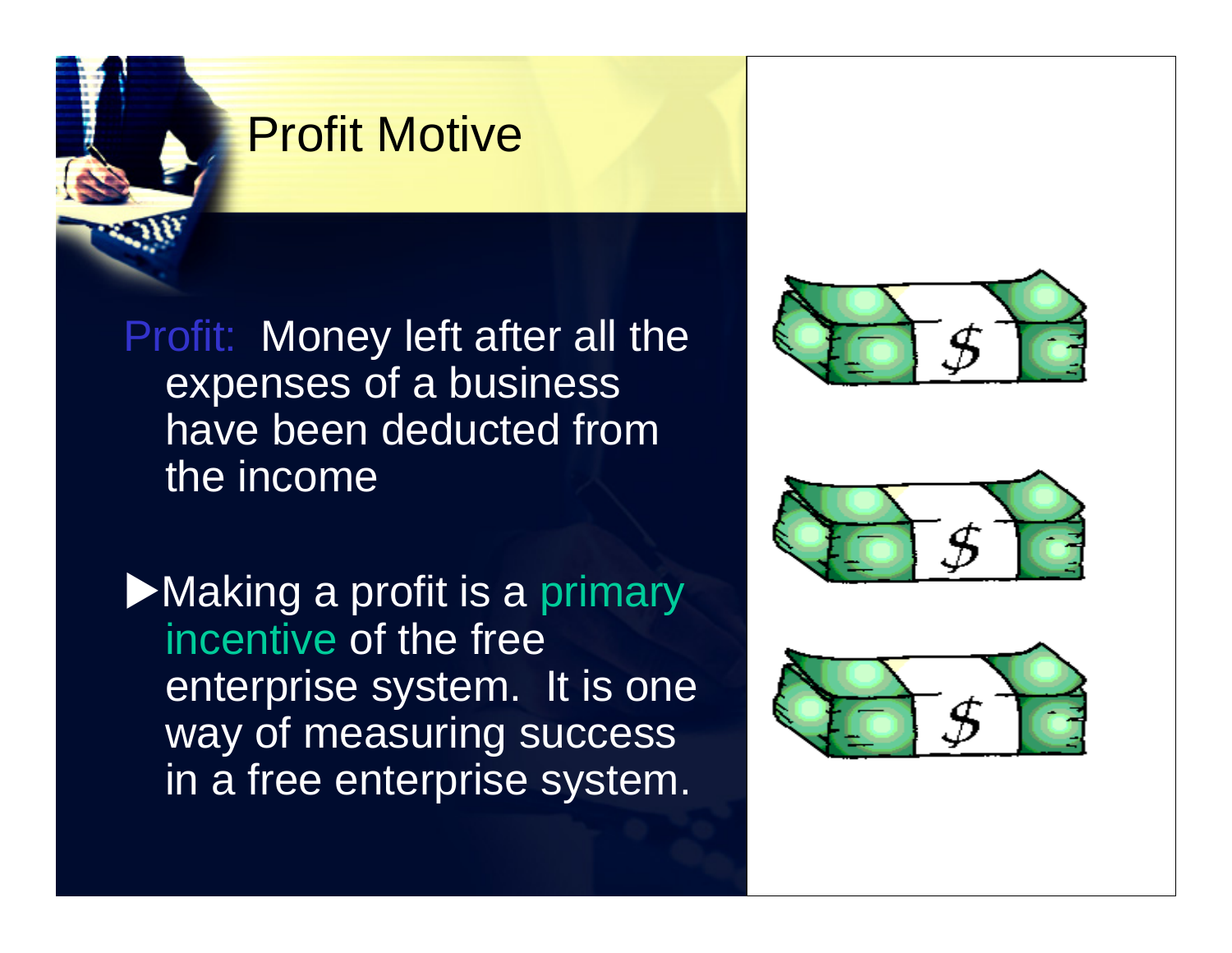### Profit Motive

Profit: Money left after all the expenses of a business have been deducted from the income

Making a profit is a primary incentive of the free enterprise system. It is one way of measuring success in a free enterprise system.





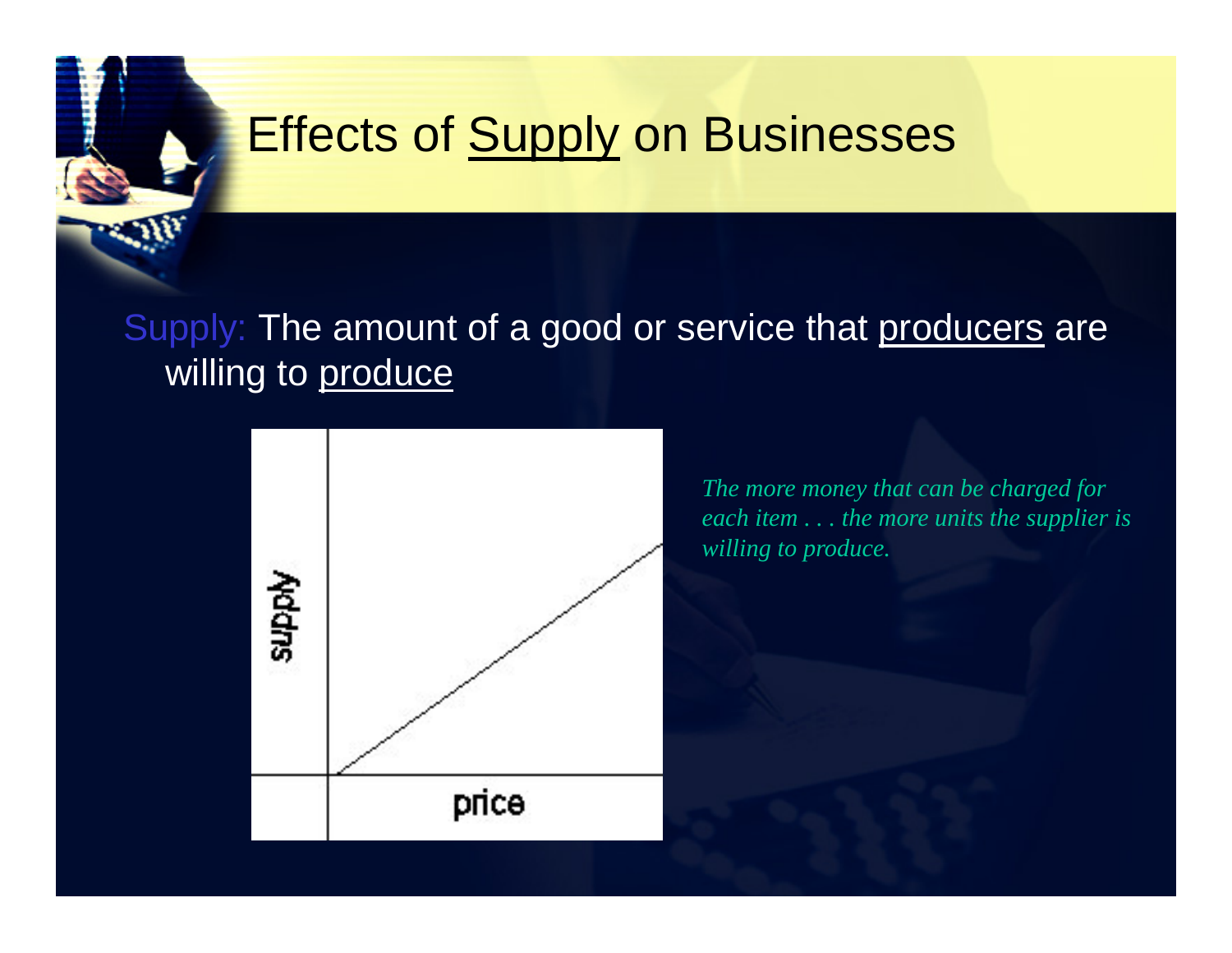# **Effects of Supply on Businesses**

### Supply: The amount of a good or service that producers are willing to produce



*The more money that can be charged for each item . . . the more units the supplier is willing to produce.*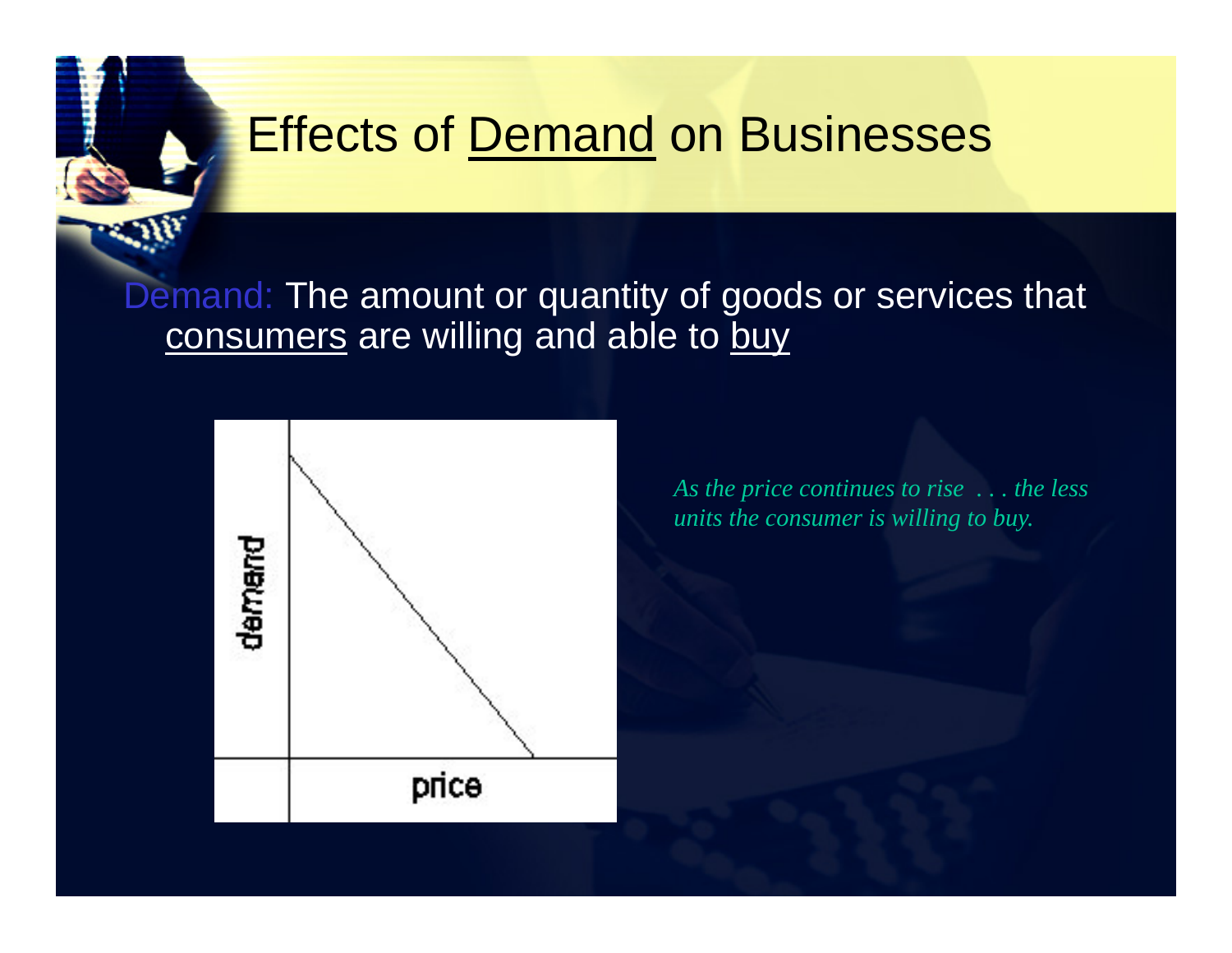### Effects of Demand on Businesses

#### Demand: The amount or quantity of goods or services that consumers are willing and able to buy



*As the price continues to rise . . . the less units the consumer is willing to buy.*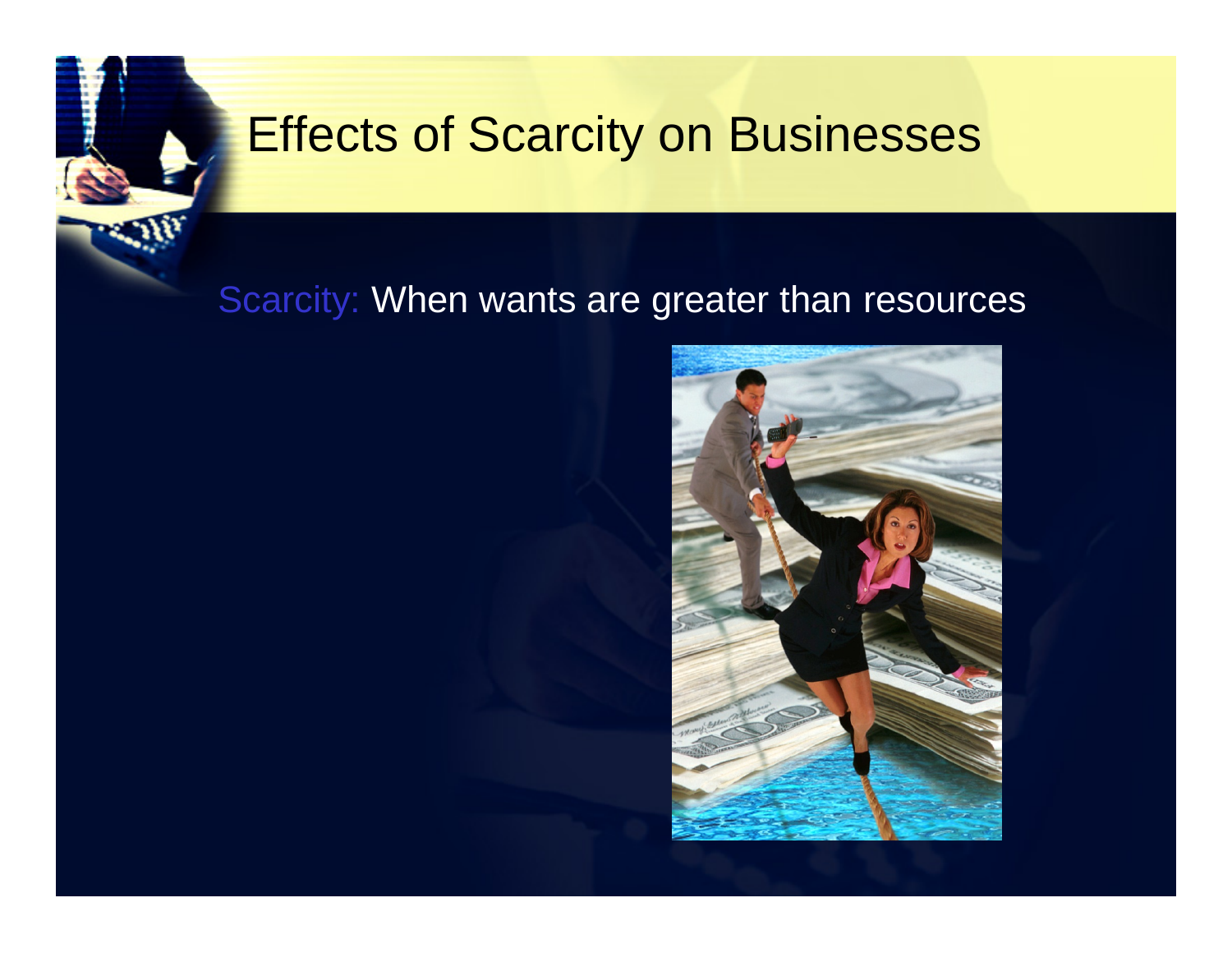### Effects of Scarcity on Businesses

### Scarcity: When wants are greater than resources

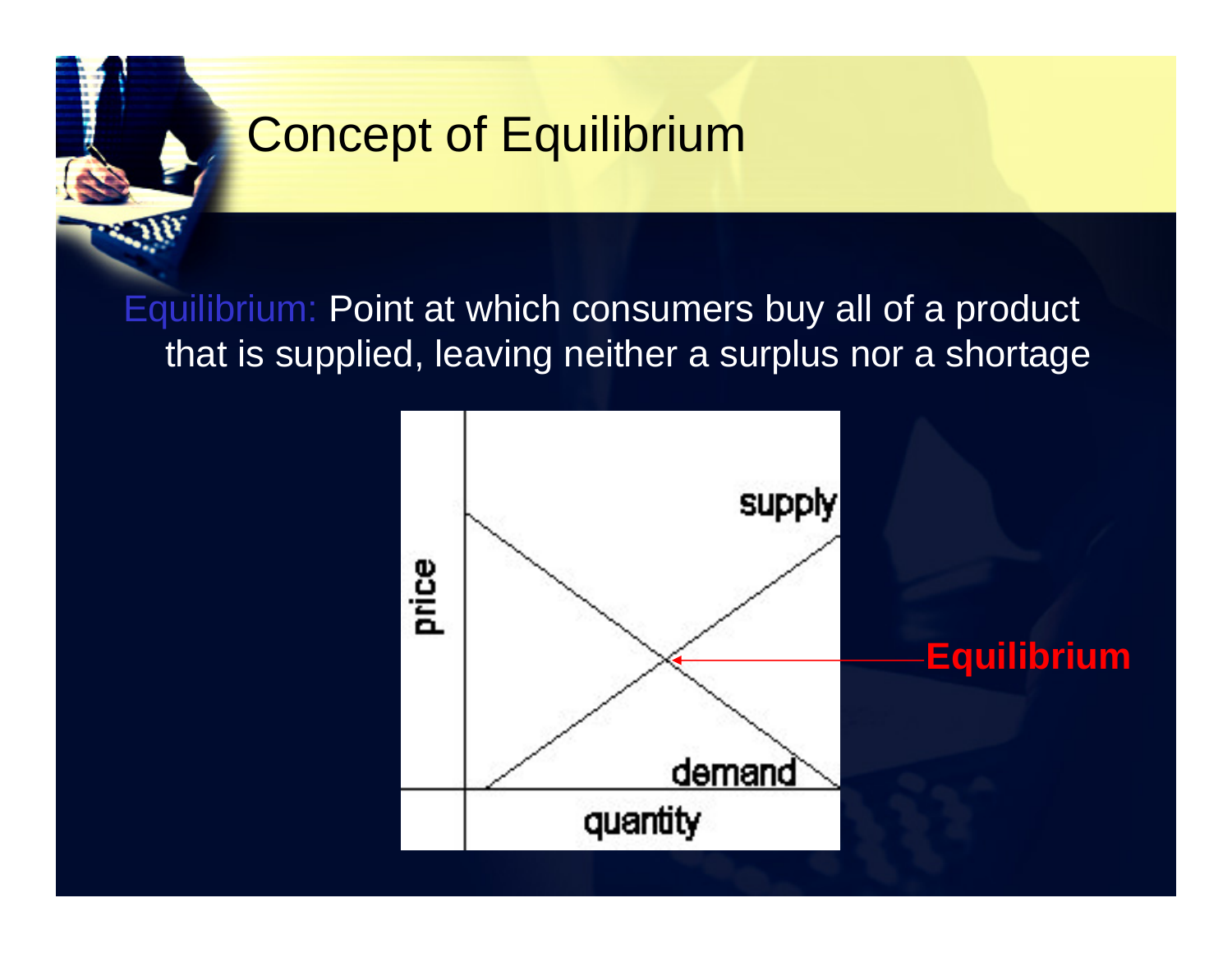# Concept of Equilibrium

Equilibrium: Point at which consumers buy all of a product that is supplied, leaving neither a surplus nor a shortage

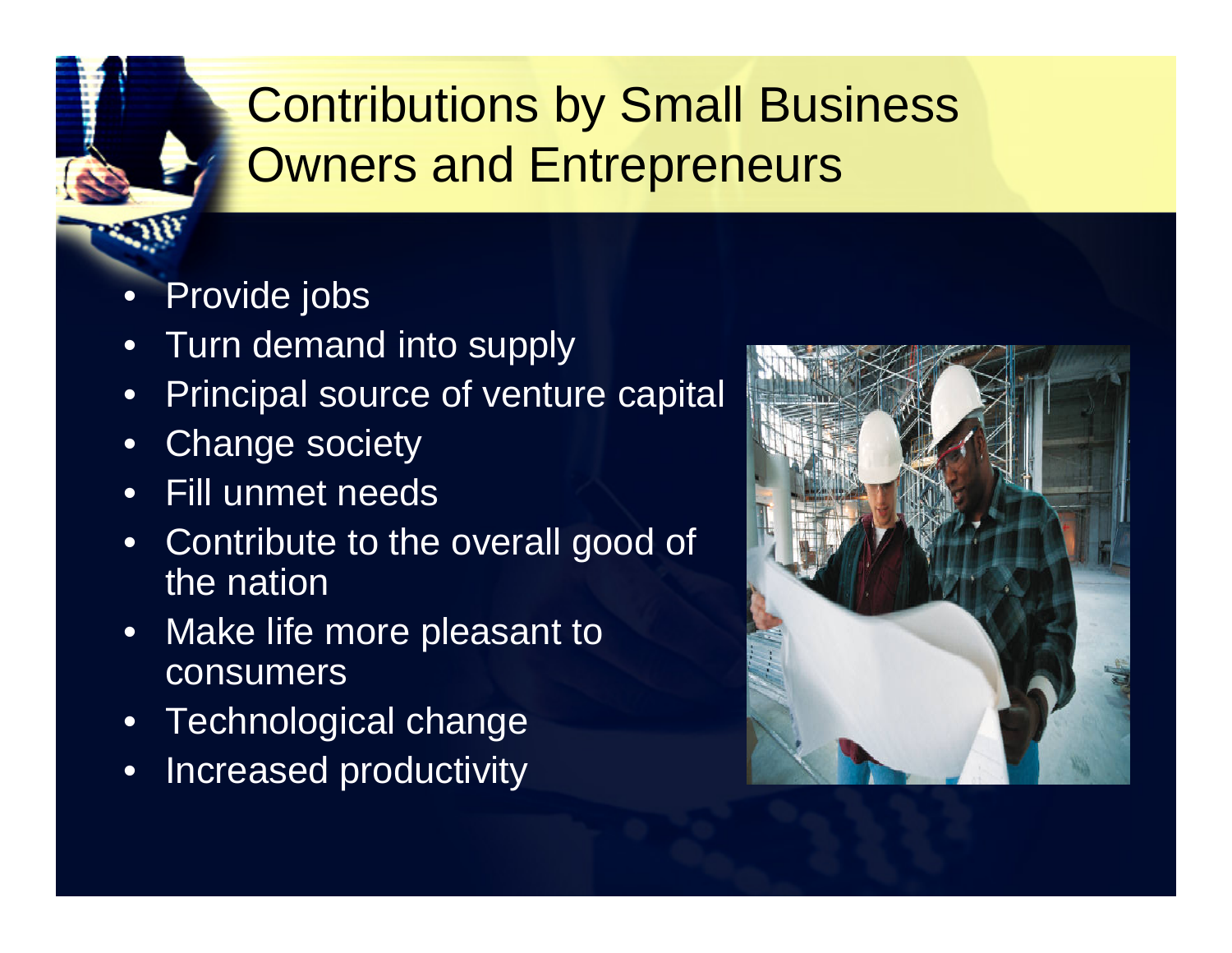# Contributions by Small Business Owners and Entrepreneurs

- •Provide jobs
- •Turn demand into supply
- •Principal source of venture capital
- •Change society
- •Fill unmet needs
- • Contribute to the overall good of the nation
- Make life more pleasant to consumers
- •Technological change
- •Increased productivity

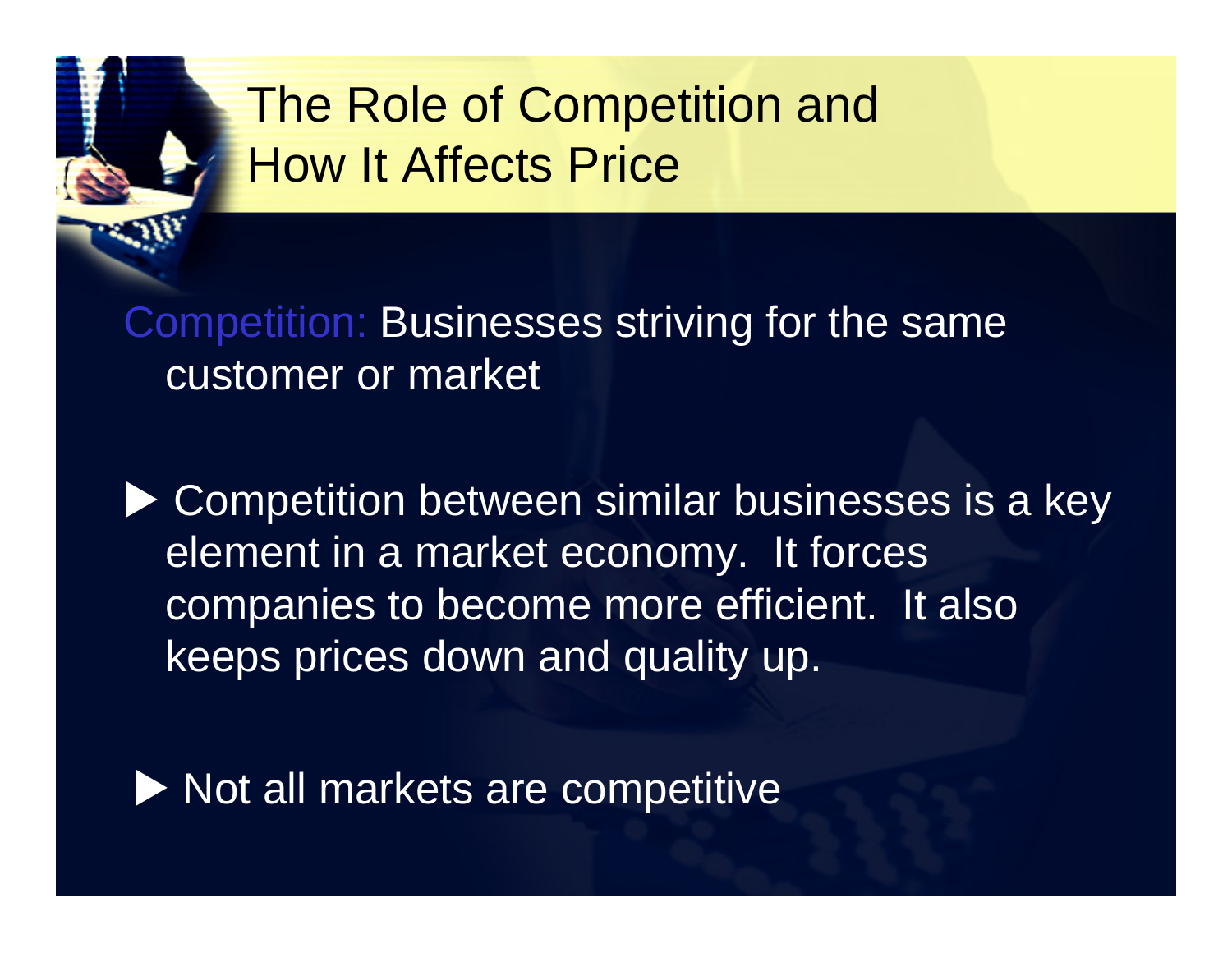

Competition: Businesses striving for the same customer or market

▶ Competition between similar businesses is a key element in a market economy. It forces companies to become more efficient. It also keeps prices down and quality up.

 $\blacktriangleright$  Not all markets are competitive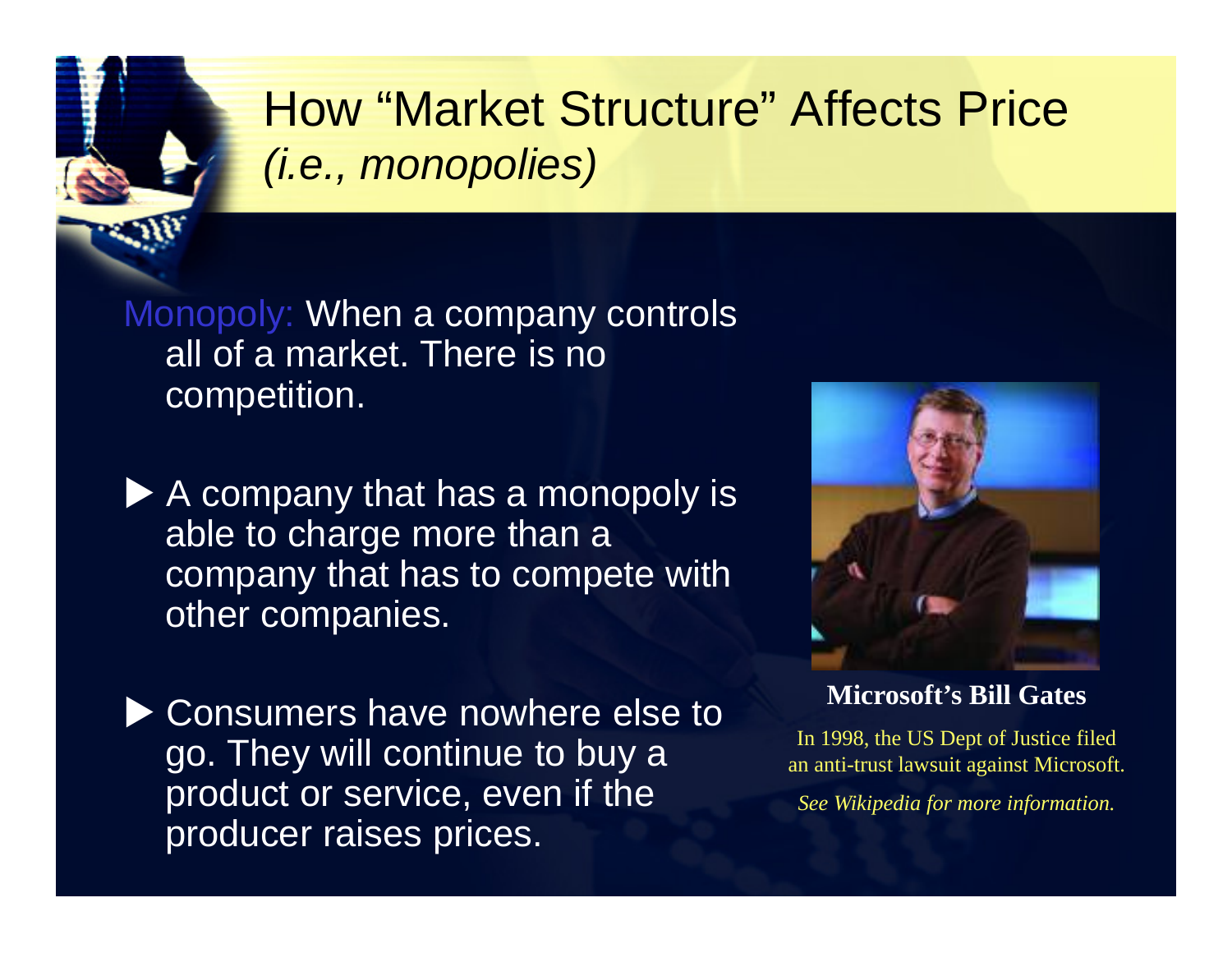

# How "Market Structure" Affects Price *(i.e., monopolies)*

Monopoly: When a company controls all of a market. There is no competition.

 $\blacktriangleright$  A company that has a monopoly is able to charge more than a company that has to compete with other companies.

▶ Consumers have nowhere else to go. They will continue to buy a product or service, even if the producer raises prices.



**Microsoft's Bill Gates**

In 1998, the US Dept of Justice filed an anti-trust lawsuit against Microsoft.

*See Wikipedia for more information.*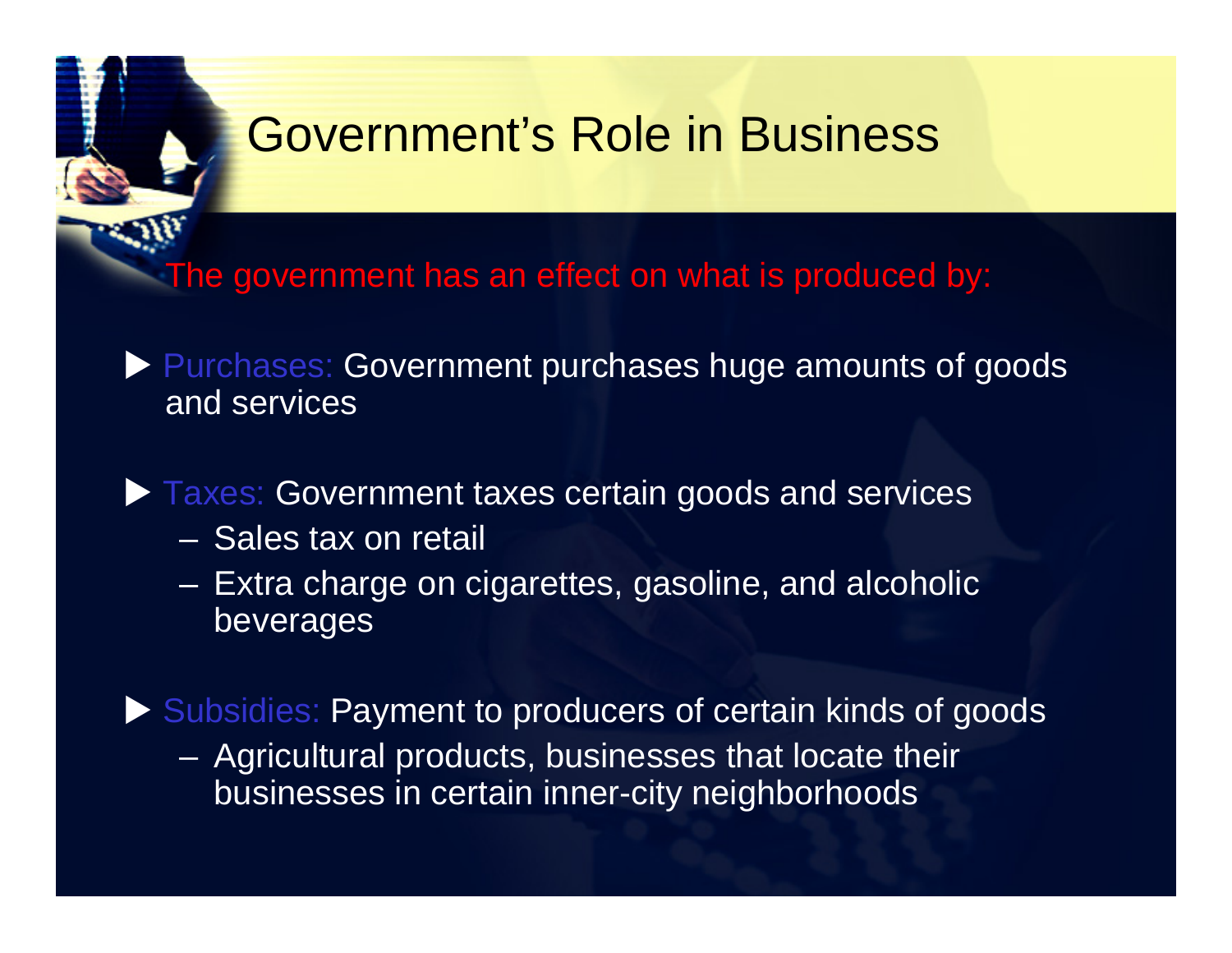### Government's Role in Business

The government has an effect on what is produced by:

 Purchases: Government purchases huge amounts of goods and services

#### **Taxes: Government taxes certain goods and services**

- Sales tax on retail
- $\mathcal{L}_{\mathcal{A}}$  Extra charge on cigarettes, gasoline, and alcoholic beverages

Subsidies: Payment to producers of certain kinds of goods

– Agricultural products, businesses that locate their businesses in certain inner-city neighborhoods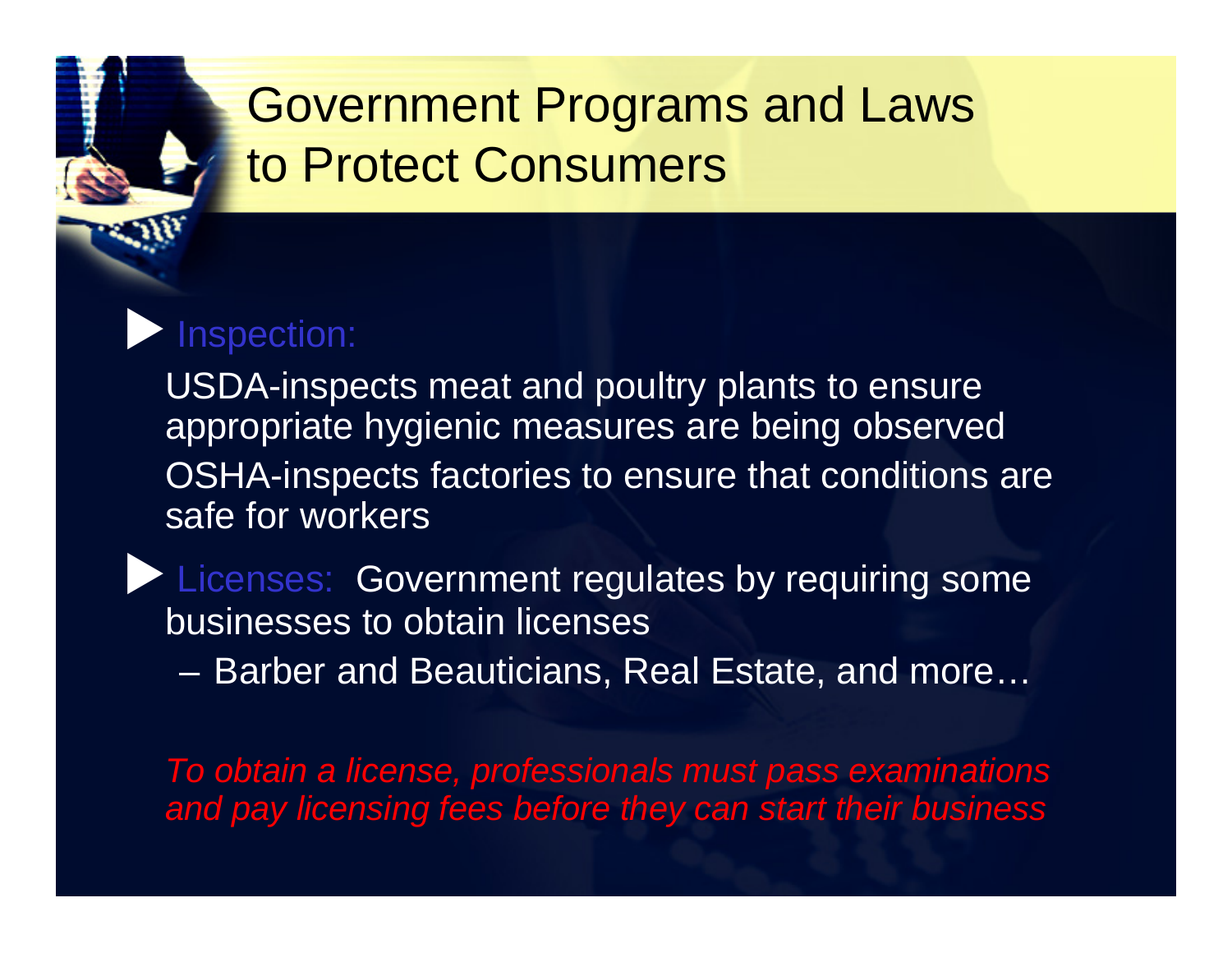# Government Programs and Laws to Protect Consumers

### Inspection:

USDA-inspects meat and poultry plants to ensure appropriate hygienic measures are being observed OSHA-inspects factories to ensure that conditions are safe for workers

**Licenses: Government regulates by requiring some** businesses to obtain licenses

 $\mathcal{L}_{\mathcal{A}}$ Barber and Beauticians, Real Estate, and more…

*To obtain a license, professionals must pass examinations and pay licensing fees before they can start their business*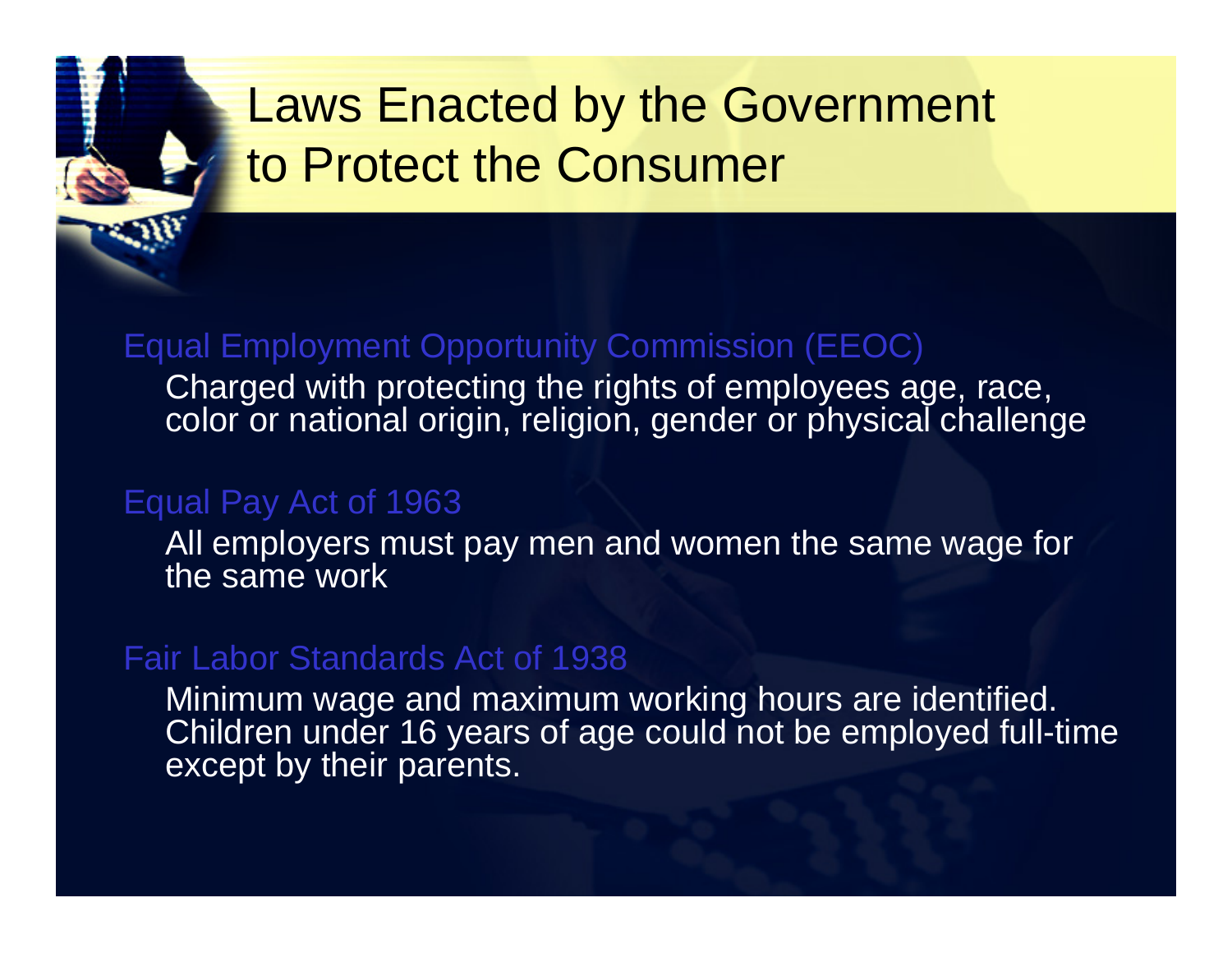# Laws Enacted by the Government to Protect the Consumer

#### Equal Employment Opportunity Commission (EEOC)

Charged with protecting the rights of employees age, race, color or national origin, religion, gender or physical challenge

#### Equal Pay Act of 1963

All employers must pay men and women the same wage for the same work

#### Fair Labor Standards Act of 1938

Minimum wage and maximum working hours are identified. Children under 16 years of age could not be employed full-time except by their parents.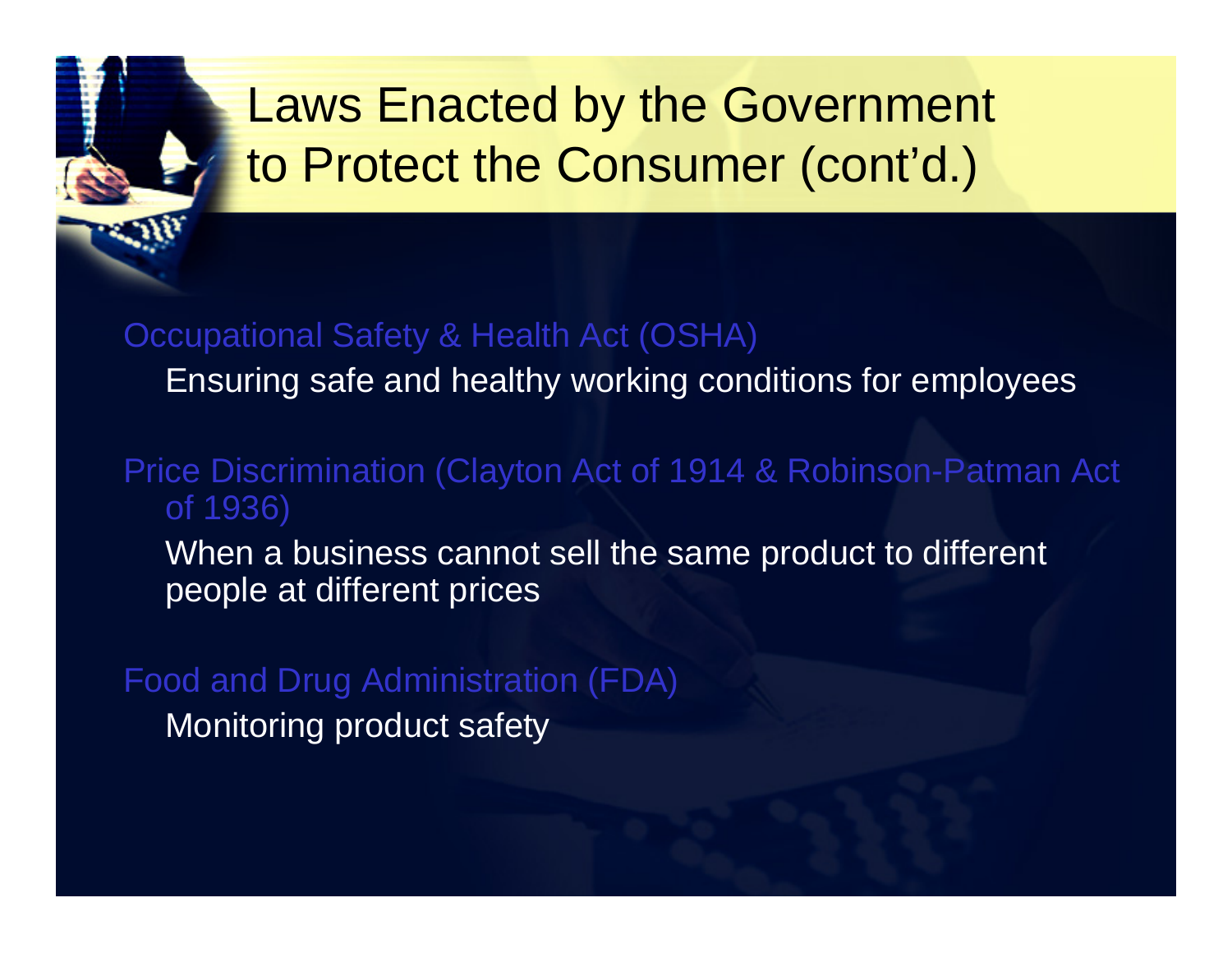# Laws Enacted by the Government to Protect the Consumer (cont'd.)

#### Occupational Safety & Health Act (OSHA)

Ensuring safe and healthy working conditions for employees

### Price Discrimination (Clayton Act of 1914 & Robinson-Patman Act of 1936)

When a business cannot sell the same product to different people at different prices

Food and Drug Administration (FDA) Monitoring product safety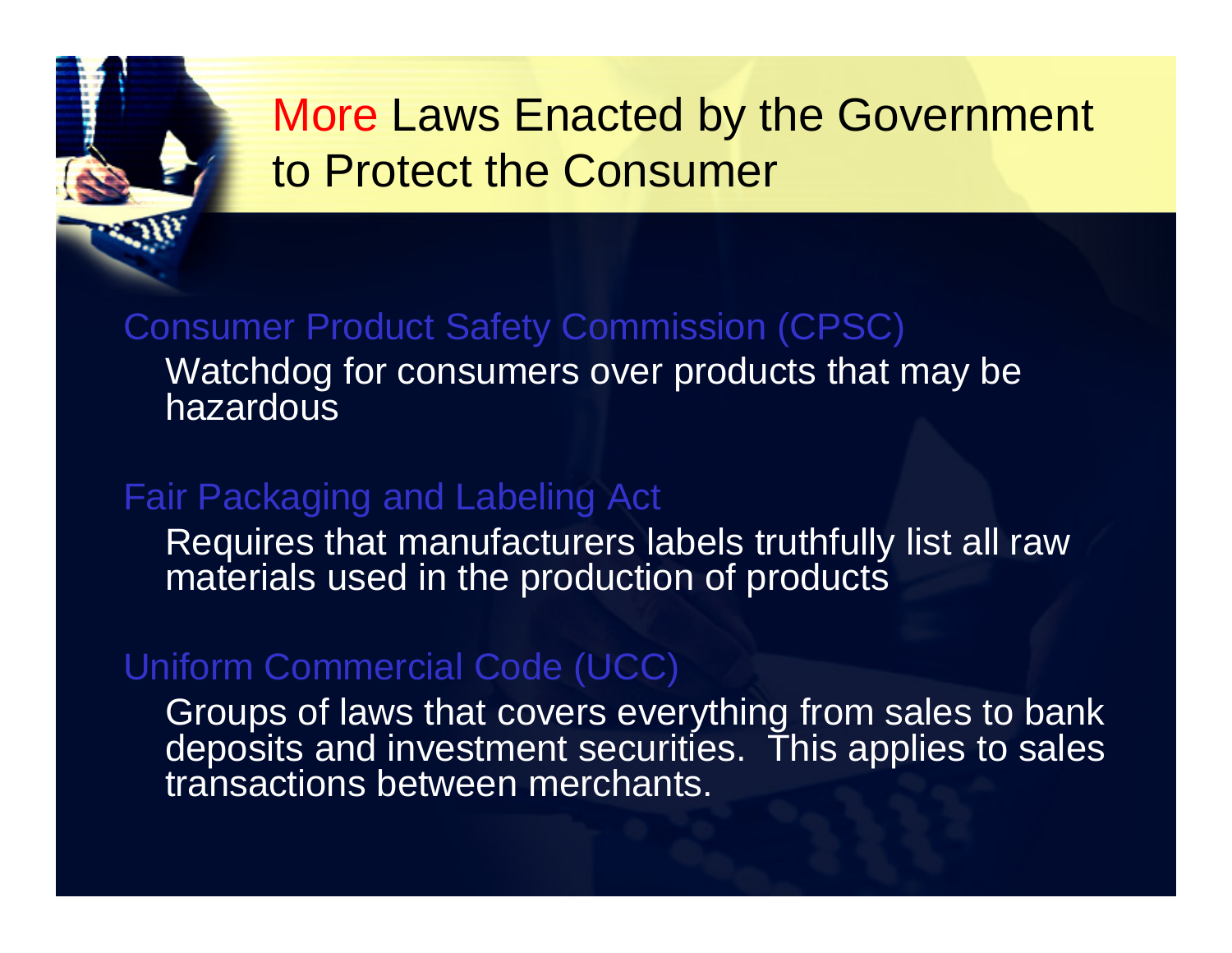# More Laws Enacted by the Government to Protect the Consumer

#### Consumer Product Safety Commission (CPSC) Watchdog for consumers over products that may be hazardous

### Fair Packaging and Labeling Act

Requires that manufacturers labels truthfully list all raw materials used in the production of products

#### Uniform Commercial Code (UCC)

Groups of laws that covers everything from sales to bank deposits and investment securities. This applies to sales transactions between merchants.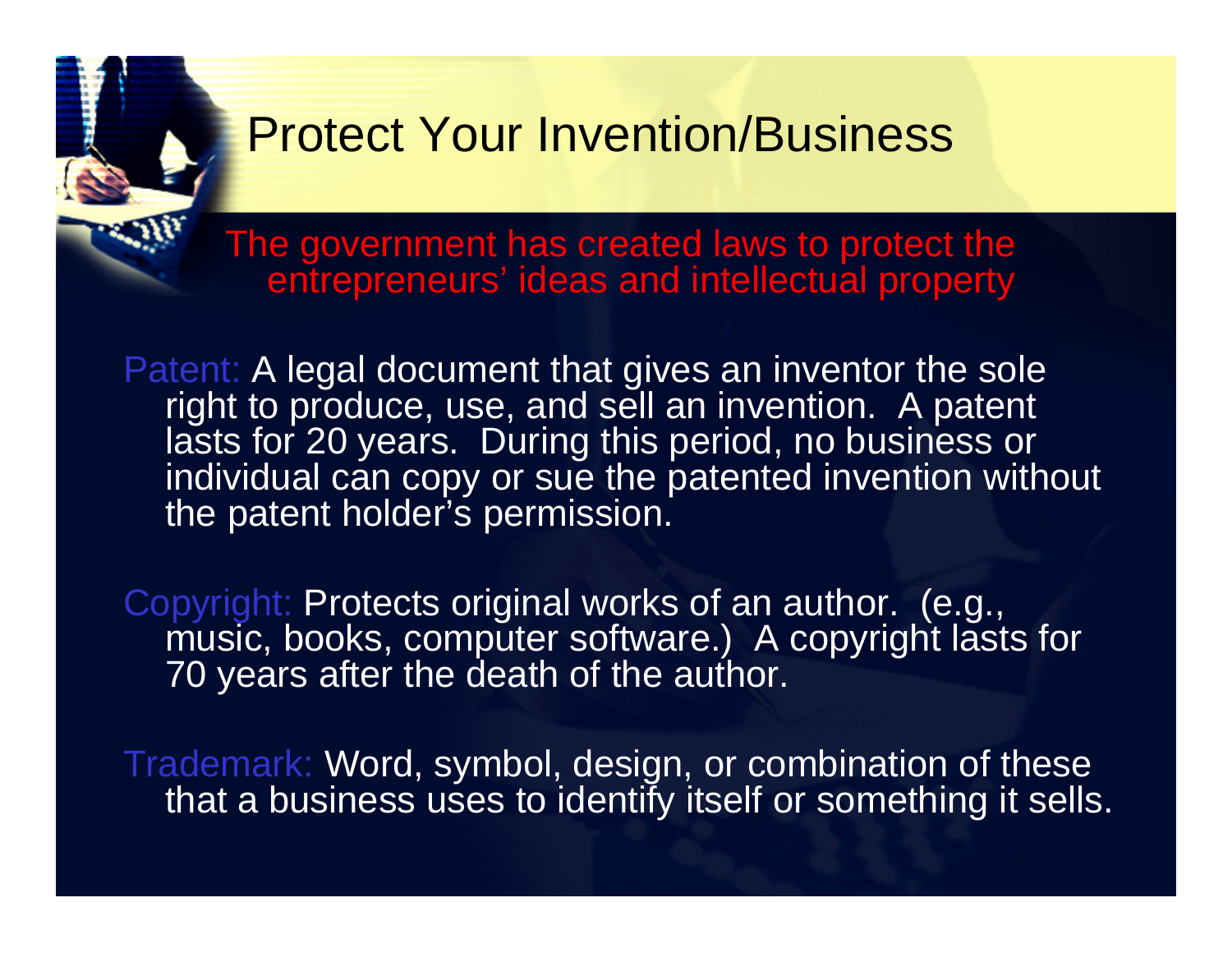### Protect Your Invention/Business

The government has created laws to protect the entrepreneurs' ideas and intellectual property

Patent: A legal document that gives an inventor the sole right to produce, use, and sell an invention. A patent lasts for 20 years. During this period, no business or individual can copy or sue the patented invention without the patent holder's permission.

Copyright: Protects original works of an author. (e.g., music, books, computer software.) A copyright lasts for 70 years after the death of the author.

Trademark: Word, symbol, design, or combination of these that a business uses to identify itself or something it sells.